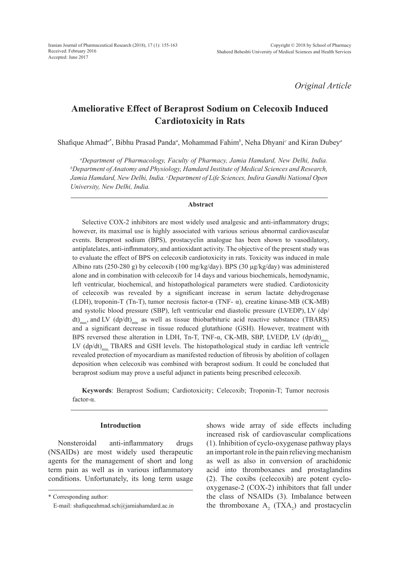*Original Article*

# **Ameliorative Effect of Beraprost Sodium on Celecoxib Induced Cardiotoxicity in Rats**

Shafique Ahmad*<sup>a</sup>*\* , Bibhu Prasad Panda*<sup>a</sup>* , Mohammad Fahim*<sup>b</sup>* , Neha Dhyani*<sup>c</sup>* and Kiran Dubey*<sup>a</sup>*

*a Department of Pharmacology, Faculty of Pharmacy, Jamia Hamdard, New Delhi, India. b Department of Anatomy and Physiology, Hamdard Institute of Medical Sciences and Research, Jamia Hamdard, New Delhi, India. c Department of Life Sciences, Indira Gandhi National Open University, New Delhi, India.*

#### **Abstract**

Selective COX-2 inhibitors are most widely used analgesic and anti-inflammatory drugs; however, its maximal use is highly associated with various serious abnormal cardiovascular events. Beraprost sodium (BPS), prostacyclin analogue has been shown to vasodilatory, antiplatelates, anti-inflmmatory, and antioxidant activity. The objective of the present study was to evaluate the effect of BPS on celecoxib cardiotoxicity in rats. Toxicity was induced in male Albino rats (250-280 g) by celecoxib (100 mg/kg/day). BPS (30 μg/kg/day) was administered alone and in combination with celecoxib for 14 days and various biochemicals, hemodynamic, left ventricular, biochemical, and histopathological parameters were studied. Cardiotoxicity of celecoxib was revealed by a significant increase in serum lactate dehydrogenase (LDH), troponin-T (Tn-T), tumor necrosis factor-α (TNF- α), creatine kinase-MB (CK-MB) and systolic blood pressure (SBP), left ventricular end diastolic pressure (LVEDP), LV (dp/ dt)<sub>max</sub>, and LV (dp/dt)<sub>min</sub> as well as tissue thiobarbituric acid reactive substance (TBARS) and a significant decrease in tissue reduced glutathione (GSH). However, treatment with BPS reversed these alteration in LDH, Tn-T, TNF- $\alpha$ , CK-MB, SBP, LVEDP, LV (dp/dt)<sub>max</sub> LV  $(dp/dt)_{min}$  TBARS and GSH levels. The histopathological study in cardiac left ventricle revealed protection of myocardium as manifested reduction of fibrosis by abolition of collagen deposition when celecoxib was combined with beraprost sodium. It could be concluded that beraprost sodium may prove a useful adjunct in patients being prescribed celecoxib.

**Keywords**: Beraprost Sodium; Cardiotoxicity; Celecoxib; Troponin-T; Tumor necrosis factor-α.

## **Introduction**

Nonsteroidal anti-inflammatory drugs (NSAIDs) are most widely used therapeutic agents for the management of short and long term pain as well as in various inflammatory conditions. Unfortunately, its long term usage shows wide array of side effects including increased risk of cardiovascular complications (1). Inhibition of cyclo-oxygenase pathway plays an important role in the pain relieving mechanism as well as also in conversion of arachidonic acid into thromboxanes and prostaglandins (2). The coxibs (celecoxib) are potent cyclooxygenase-2 (COX-2) inhibitors that fall under the class of NSAIDs (3). Imbalance between the thromboxane  $A_2$  (TXA<sub>2</sub>) and prostacyclin

<sup>\*</sup> Corresponding author:

E-mail: shafiqueahmad.sch@jamiahamdard.ac.in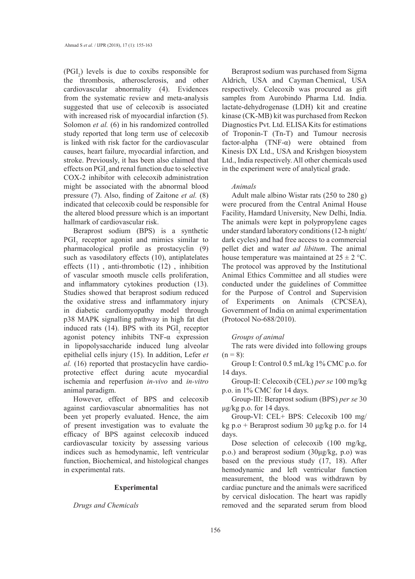$(PGI<sub>2</sub>)$  levels is due to coxibs responsible for the thrombosis, atherosclerosis, and other cardiovascular abnormality (4). Evidences from the systematic review and meta-analysis suggested that use of celecoxib is associated with increased risk of myocardial infarction  $(5)$ . Solomon *et al.* (6) in his randomized controlled study reported that long term use of celecoxib is linked with risk factor for the cardiovascular causes, heart failure, myocardial infarction, and stroke. Previously, it has been also claimed that effects on PGI<sub>2</sub> and renal function due to selective COX-2 inhibitor with celecoxib administration might be associated with the abnormal blood pressure (7). Also, finding of Zaitone *et al.* (8) indicated that celecoxib could be responsible for the altered blood pressure which is an important hallmark of cardiovascular risk.

Beraprost sodium (BPS) is a synthetic  $PGI<sub>2</sub>$  receptor agonist and mimics similar to pharmacological profile as prostacyclin (9) such as vasodilatory effects (10), antiplatelates effects (11) , anti-thrombotic (12) , inhibition of vascular smooth muscle cells proliferation, and inflammatory cytokines production (13). Studies showed that beraprost sodium reduced the oxidative stress and inflammatory injury in diabetic cardiomyopathy model through p38 MAPK signalling pathway in high fat diet induced rats (14). BPS with its  $PGI<sub>2</sub>$  receptor agonist potency inhibits TNF-α expression in lipopolysaccharide induced lung alveolar epithelial cells injury (15). In addition, Lefer *et al.* (16) reported that prostacyclin have cardioprotective effect during acute myocardial ischemia and reperfusion *in-vivo* and *in-vitro* animal paradigm.

However, effect of BPS and celecoxib against cardiovascular abnormalities has not been yet properly evaluated. Hence, the aim of present investigation was to evaluate the efficacy of BPS against celecoxib induced cardiovascular toxicity by assessing various indices such as hemodynamic, left ventricular function, Biochemical, and histological changes in experimental rats.

#### **Experimental**

*Drugs and Chemicals*

Beraprost sodium was purchased from Sigma Aldrich, USA and Cayman Chemical, USA respectively. Celecoxib was procured as gift samples from Aurobindo Pharma Ltd. India. lactate-dehydrogenase (LDH) kit and creatine kinase (CK-MB) kit was purchased from Reckon Diagnostics Pvt. Ltd. ELISA Kits for estimations of Troponin-T (Tn-T) and Tumour necrosis factor-alpha (TNF-α) were obtained from Kinesis DX Ltd., USA and Krishgen biosystem Ltd., India respectively. All other chemicals used in the experiment were of analytical grade.

#### *Animals*

Adult male albino Wistar rats (250 to 280 g) were procured from the Central Animal House Facility, Hamdard University, New Delhi, India. The animals were kept in polypropylene cages under standard laboratory conditions (12-h night/ dark cycles) and had free access to a commercial pellet diet and water *ad libitum*. The animal house temperature was maintained at  $25 \pm 2$  °C. The protocol was approved by the Institutional Animal Ethics Committee and all studies were conducted under the guidelines of Committee for the Purpose of Control and Supervision of Experiments on Animals (CPCSEA), Government of India on animal experimentation (Protocol No-688/2010).

## *Groups of animal*

The rats were divided into following groups  $(n = 8)$ :

Group I: Control 0.5 mL/kg 1% CMC p.o. for 14 days.

Group-II: Celecoxib (CEL) *per se* 100 mg/kg p.o. in 1% CMC for 14 days.

Group-III: Beraprost sodium (BPS) *per se* 30 μg/kg p.o. for 14 days.

Group-VI: CEL+ BPS: Celecoxib 100 mg/ kg p.o + Beraprost sodium 30  $\mu$ g/kg p.o. for 14 days.

Dose selection of celecoxib (100 mg/kg, p.o.) and beraprost sodium (30μg/kg, p.o) was based on the previous study (17, 18). After hemodynamic and left ventricular function measurement, the blood was withdrawn by cardiac puncture and the animals were sacrificed by cervical dislocation. The heart was rapidly removed and the separated serum from blood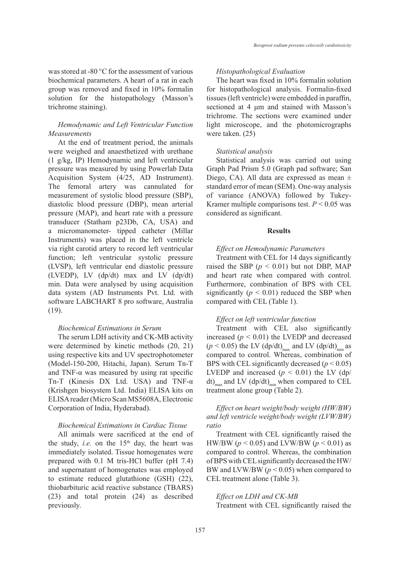was stored at -80  $\degree$ C for the assessment of various biochemical parameters. A heart of a rat in each group was removed and fixed in 10% formalin solution for the histopathology (Masson's trichrome staining).

# *Hemodynamic and Left Ventricular Function Measurements*

At the end of treatment period, the animals were weighed and anaesthetized with urethane (1 g/kg, IP) Hemodynamic and left ventricular pressure was measured by using Powerlab Data Acquisition System (4/25, AD Instrument). The femoral artery was cannulated for measurement of systolic blood pressure (SBP), diastolic blood pressure (DBP), mean arterial pressure (MAP), and heart rate with a pressure transducer (Statham p23Db, CA, USA) and a micromanometer- tipped catheter (Millar Instruments) was placed in the left ventricle via right carotid artery to record left ventricular function; left ventricular systolic pressure (LVSP), left ventricular end diastolic pressure (LVEDP), LV (dp/dt) max and LV (dp/dt) min. Data were analysed by using acquisition data system (AD Instruments Pvt. Ltd. with software LABCHART 8 pro software, Australia (19).

# *Biochemical Estimations in Serum*

The serum LDH activity and CK-MB activity were determined by kinetic methods (20, 21) using respective kits and UV spectrophotometer (Model-150-200, Hitachi, Japan). Serum Tn-T and TNF- $\alpha$  was measured by using rat specific Tn-T (Kinesis DX Ltd. USA) and TNF-α (Krishgen biosystem Ltd. India) ELISA kits on ELISA reader (Micro Scan MS5608A, Electronic Corporation of India, Hyderabad).

### *Biochemical Estimations in Cardiac Tissue*

All animals were sacrificed at the end of the study, *i.e.* on the  $15<sup>th</sup>$  day, the heart was immediately isolated. Tissue homogenates were prepared with 0.1 M tris-HCl buffer (pH 7.4) and supernatant of homogenates was employed to estimate reduced glutathione (GSH) (22), thiobarbituric acid reactive substance (TBARS) (23) and total protein (24) as described previously.

# *Histopathological Evaluation*

The heart was fixed in 10% formalin solution for histopathological analysis. Formalin-fixed tissues (left ventricle) were embedded in paraffin, sectioned at 4 μm and stained with Masson's trichrome. The sections were examined under light microscope, and the photomicrographs were taken. (25)

## *Statistical analysis*

Statistical analysis was carried out using Graph Pad Prism 5.0 (Graph pad software; San Diego, CA). All data are expressed as mean  $\pm$ standard error of mean (SEM). One-way analysis of variance (ANOVA) followed by Tukey-Kramer multiple comparisons test.  $P < 0.05$  was considered as significant.

#### **Results**

## *Effect on Hemodynamic Parameters*

Treatment with CEL for 14 days significantly raised the SBP  $(p < 0.01)$  but not DBP, MAP and heart rate when compared with control. Furthermore, combination of BPS with CEL significantly  $(p < 0.01)$  reduced the SBP when compared with CEL (Table 1).

#### *Effect on left ventricular function*

Treatment with CEL also significantly increased  $(p < 0.01)$  the LVEDP and decreased  $(p < 0.05)$  the LV  $(dp/dt)_{max}$  and LV  $(dp/dt)_{min}$  as compared to control. Whereas, combination of BPS with CEL significantly decreased  $(p < 0.05)$ LVEDP and increased  $(p < 0.01)$  the LV  $(dp)$ dt)<sub>max</sub> and LV (dp/dt)<sub>min</sub> when compared to CEL treatment alone group (Table 2).

*Effect on heart weight/body weight (HW/BW) and left ventricle weight/body weight (LVW/BW) ratio*

Treatment with CEL significantly raised the HW/BW ( $p < 0.05$ ) and LVW/BW ( $p < 0.01$ ) as compared to control. Whereas, the combination of BPS with CEL significantly decreased the HW/ BW and LVW/BW (*p* < 0.05) when compared to CEL treatment alone (Table 3).

# *Effect on LDH and CK-MB* Treatment with CEL significantly raised the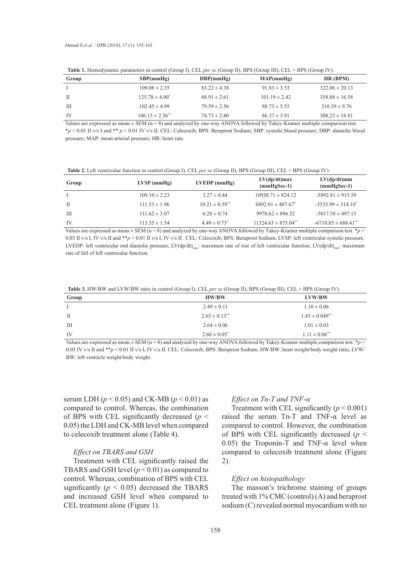|  | Table 1. Hemodynamic parameters in control (Group I), CEL per se (Group II), BPS (Group III), CEL + BPS (Group IV). |  |
|--|---------------------------------------------------------------------------------------------------------------------|--|
|  |                                                                                                                     |  |

| Group | SBP(mmHg)              | DBP(mmHg)        | MAP(mmHg)         | HR(BPM)            |
|-------|------------------------|------------------|-------------------|--------------------|
|       | $109.08 \pm 2.35$      | $83.22 \pm 4.38$ | $91.83 \pm 3.53$  | $322.06 \pm 20.13$ |
| - H   | $125.78 \pm 4.00^*$    | $88.91 \pm 2.61$ | $101.19 \pm 2.42$ | $358.88 \pm 16.58$ |
| Ш     | $102.45 \pm 4.99$      | $79.59 \pm 2.56$ | $88.73 \pm 5.55$  | $310.39 \pm 9.76$  |
| -IV   | $106.15 \pm 2.56^{**}$ | $74.73 \pm 2.80$ | $86.37 \pm 3.91$  | $308.23 \pm 18.81$ |

Values are expressed as mean  $\pm$  SEM (n = 8) and analyzed by one-way ANOVA followed by Tukey-Kramer multiple comparison test. \**p* < 0.01 II v/s I and \*\* *p* < 0.01 IV v/s II. CEL: Celecoxib; BPS: Beraprost Sodium; SBP: systolic blood pressure; DBP: diastolic blood pressure; MAP: mean arterial pressure; HR: heart rate.

**Table 2.** Left ventricular function in control (Group I), CEL *per se* (Group II), BPS (Group III), CEL + BPS (Group IV).

| Group | $LVSP$ (mmHg)     | $LVEDP$ (mmHg)        | $LV(dp/dt)$ max<br>$(mmHgSec-1)$ | $LV(dp/dt)$ min<br>$(mmHgSec-1)$    |
|-------|-------------------|-----------------------|----------------------------------|-------------------------------------|
|       | $109.10 \pm 2.23$ | $3.27 \pm 0.44$       | $10930.71 \pm 824.12$            | $-5892.81 \pm 915.59$               |
| - H   | $111.53 \pm 1.96$ | $10.21 \pm 0.59^{**}$ | $6892.01 \pm 407.67^*$           | $-3533.99 \pm 314.10^*$             |
| Ш     | $111.62 \pm 3.07$ | $6.28 \pm 0.74$       | $9970.62 \pm 896.32$             | $-5017.58 \pm 497.15$               |
| IV    | $113.55 \pm 1.54$ | $4.49 \pm 0.73^*$     | $11324.63 \pm 875.04^{**}$       | $-6710.85 \pm 688.41$ <sup>**</sup> |

Values are expressed as mean  $\pm$  SEM (n = 8) and analyzed by one-way ANOVA followed by Tukey-Kramer multiple comparison test.  $*p$  < 0.05 II v/s I, IV v/s II and \*\**p* < 0.01 II v/s I, IV v/s II . CEL: Celecoxib, BPS: Beraprost Sodium, LVSP: left ventricular systolic pressure, LVEDP: left ventricular end diastolic pressure, LV(dp/dt)<sub>max</sub>: maximum rate of rise of left ventricular function, LV(dp/dt)<sub>min</sub>: maximum rate of fall of left ventricular function.

**Table 3.** HW/BW and LVW/BW ratio in control (Group I), CEL *per se* (Group II), BPS (Group III), CEL + BPS (Group IV).

| Group        | <b>HW/BW</b>                  | LVW/BW                         |
|--------------|-------------------------------|--------------------------------|
|              | $2.49 \pm 0.11$               | $1.10 \pm 0.06$                |
| $\mathbf{I}$ | $2.65 \pm 0.13$ <sup>**</sup> | $1.45 \pm 0.049$ <sup>**</sup> |
| Ш            | $2.64 \pm 0.06$               | $1.01 \pm 0.03$                |
| IV           | $2.60 \pm 0.05^*$             | $1.11 \pm 0.06$ <sup>**</sup>  |

Values are expressed as mean  $\pm$  SEM (n = 8) and analyzed by one-way ANOVA followed by Tukey-Kramer multiple comparison test. \**p* < 0.05 IV v/s II and \*\**p* < 0.01 II v/s I, IV v/s II. CEL: Celecoxib, BPS: Beraprost Sodium, HW/BW: heart weight/body weight ratio, LVW/ BW: left ventricle weight/body weight.

serum LDH ( $p < 0.05$ ) and CK-MB ( $p < 0.01$ ) as compared to control. Whereas, the combination of BPS with CEL significantly decreased  $(p \leq$ 0.05) the LDH and CK-MB level when compared to celecoxib treatment alone (Table 4).

## *Effect on TBARS and GSH*

Treatment with CEL significantly raised the TBARS and GSH level  $(p < 0.01)$  as compared to control. Whereas, combination of BPS with CEL significantly  $(p < 0.05)$  decreased the TBARS and increased GSH level when compared to CEL treatment alone (Figure 1).

# *Effect on Tn-T and TNF-α*

Treatment with CEL significantly  $(p < 0.001)$ raised the serum Tn-T and TNF-α level as compared to control. However, the combination of BPS with CEL significantly decreased  $(p <$ 0.05) the Troponin-T and TNF- $\alpha$  level when compared to celecoxib treatment alone (Figure 2).

## *Effect on histopathology*

The masson's trichrome staining of groups treated with 1% CMC (control) (A) and beraprost sodium (C) revealed normal myocardium with no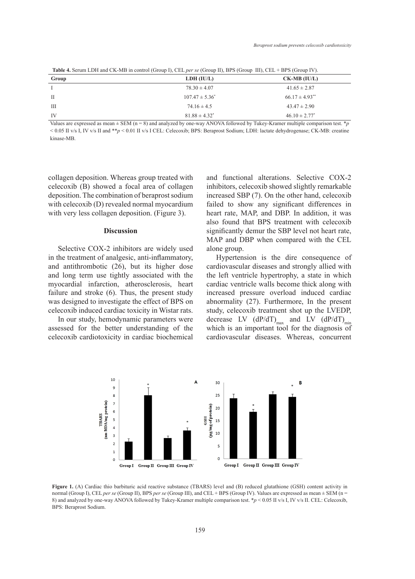**Table 4.** Serum LDH and CK-MB in control (Group I), CEL *per se* (Group II), BPS (Group III), CEL + BPS (Group IV).

|       | $\sqrt{2}$<br>$\overline{\phantom{a}}$ | $\overline{\phantom{a}}$       |
|-------|----------------------------------------|--------------------------------|
| Group | LDH (IU/L)                             | $CK-MB (IU/L)$                 |
|       | $78.30 \pm 4.07$                       | $41.65 \pm 2.87$               |
| П     | $107.47 \pm 5.36^*$                    | $66.17 \pm 4.93$ <sup>**</sup> |
| Ш     | $74.16 \pm 4.5$                        | $43.47 \pm 2.90$               |
| IV    | $81.88 \pm 4.32^*$                     | $46.10 \pm 2.77^*$             |

Values are expressed as mean ± SEM (n = 8) and analyzed by one-way ANOVA followed by Tukey-Kramer multiple comparison test. \**p* < 0.05 II v/s I, IV v/s II and \*\**p* < 0.01 II v/s I CEL: Celecoxib; BPS: Beraprost Sodium; LDH: lactate dehydrogenase; CK-MB: creatine kinase-MB.

collagen deposition. Whereas group treated with celecoxib (B) showed a focal area of collagen deposition. The combination of beraprost sodium with celecoxib (D) revealed normal myocardium with very less collagen deposition. (Figure 3).

#### **Discussion**

Selective COX-2 inhibitors are widely used alone group.<br>Selective COX-2 inhibitors are widely used alone group; LDH: creating in the discussion of the selection of the in the treatment of analgesic, anti-inflammatory, and antithrombotic  $(26)$ , but its higher dose and long term use tightly associated with the myocardial infarction, atherosclerosis, heart failure and stroke (6). Thus, the present study  $\frac{1}{2}$ was designed to investigate the effect of BPS on celecoxib induced cardiac toxicity in Wistar rats.

In our study, hemodynamic parameters were assessed for the better understanding of the celecoxib cardiotoxicity in cardiac biochemical

and functional alterations. Selective COX-2 inhibitors, celecoxib showed slightly remarkable minoriors, eccessib showed signify remarkable<br>
mbination of beraprost sodium increased SBP (7). On the other hand, celecoxib failed to show any significant differences in heart rate, MAP, and DBP. In addition, it was also found that BPS treatment with celecoxib significantly demur the SBP level not heart rate, MAP and DBP when compared with the CEL alone group.

Hypertension is the dire consequence of cardiovascular diseases and strongly allied with the left ventricle hypertrophy, a state in which cardiac ventricle walls become thick along with increased pressure overload induced cardiac abnormality (27). Furthermore, In the present study, celecoxib treatment shot up the LVEDP, In our study, hemodynamic parameters were decrease LV  $(dP/dT)_{max}$  and LV  $(dP/dT)_{min}$ which is an important tool for the diagnosis of celecoxib cardiotoxicity in cardiac biochemical cardiovascular diseases. Whereas, concurrent



Figure 1. (A) Cardiac thio barbituric acid reactive substance (TBARS) level and (B) reduced glutathione (GSH) content activity in normal (Group I), CEL *per se* (Group II), BPS *per se* (Group III), and CEL + BPS (Group IV). Values are expressed as mean  $\pm$  SEM (n = normal (Group 1), CEL *per se* (Group 11), BPS *per se* (Group 11), and CEL + BPS (Group 1v). Values are expressed as mean  $\pm$  SEM (n = 8) and analyzed by one-way ANOVA followed by Tukey-Kramer multiple comparison test. BPS: Beraprost Sodium. glutathione (GSH) content activity in normal (Group I), CEL *per se* (Group II),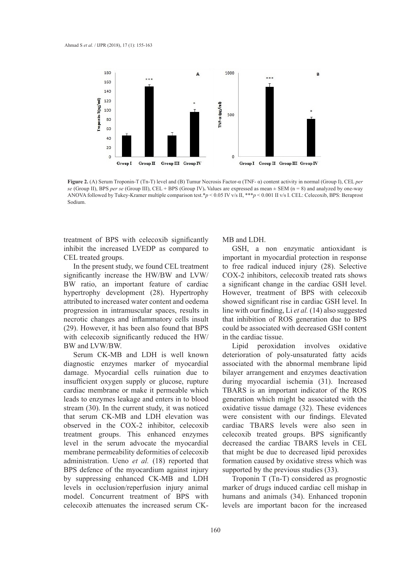

**Figure 2.** (A) Serum Troponin-T (Tn-T) level and (B) Tumur Necrosis Factor-α (TNF- α) content activity in normal (Group I), CEL *per*  se (Group II), BPS per se (Group III), CEL + BPS (Group IV). Values are expressed as mean  $\pm$  SEM (n = 8) and analyzed by one-way ANOVA followed by Tukey-Kramer multiple comparison test.\*p < 0.05 IV v/s II, \*\*\*p < 0.001 II v/s I. CEL: Celecoxib, BPS: Beraprost Sodium.

treatment of BPS with celecoxib significantly inhibit the increased LVEDP as compared to CEL treated groups.

In the present study, we found CEL treatment *Effect on histopathology*  significantly increase the  $HW/BW$  and  $LVW/$  COX-2 inhibitors, celecoxib treated with 1 BW ratio, an important feature of cardiac hypertrophy development (28). Hypertrophy However, treatment of BPS w attributed to increased water content and oedema showed significant rise in cardiac progression in intramuscular spaces, results in necrotic changes and inflammatory cells insult that inhibition of ROS generation (29). However, it has been also found that BPS with celecoxib significantly reduced the  $HW/$ BW and LVW/BW.

Serum CK-MB and LDH is well known diagnostic enzymes marker of myocardial damage. Myocardial cells ruination due to insufficient oxygen supply or glucose, rupture cardiac membrane or make it permeable which leads to enzymes leakage and enters in to blood stream (30). In the current study, it was noticed that serum CK-MB and LDH elevation was observed in the COX-2 inhibitor, celecoxib treatment groups. This enhanced enzymes level in the serum advocate the myocardial membrane permeability deformities of celecoxib administration. Ueno *et al.* (18) reported that BPS defence of the myocardium against injury by suppressing enhanced CK-MB and LDH levels in occlusion/reperfusion injury animal model. Concurrent treatment of BPS with celecoxib attenuates the increased serum CK-

## MB and LDH.

GSH, a non enzymatic antioxidant is important in myocardial protection in response to free radical induced injury (28). Selective COX-2 inhibitors, celecoxib treated rats shows a significant change in the cardiac GSH level. However, treatment of BPS with celecoxib showed significant rise in cardiac GSH level. In line with our finding, Li *et al.* (14) also suggested that inhibition of ROS generation due to BPS could be associated with decreased GSH content in the cardiac tissue.

Lipid peroxidation involves oxidative deterioration of poly-unsaturated fatty acids associated with the abnormal membrane lipid bilayer arrangement and enzymes deactivation during myocardial ischemia (31). Increased TBARS is an important indicator of the ROS generation which might be associated with the oxidative tissue damage (32). These evidences were consistent with our findings. Elevated cardiac TBARS levels were also seen in celecoxib treated groups. BPS significantly decreased the cardiac TBARS levels in CEL that might be due to decreased lipid peroxides formation caused by oxidative stress which was supported by the previous studies (33).

Troponin T (Tn-T) considered as prognostic marker of drugs induced cardiac cell mishap in humans and animals (34). Enhanced troponin levels are important bacon for the increased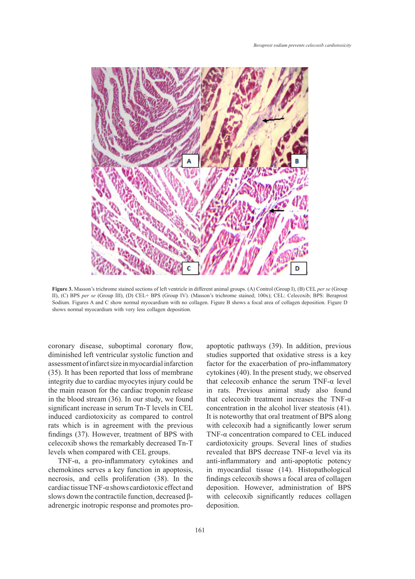

**Figure 3.** Masson's trichrome stained sections of left ventricle in different animal groups. (A) Control (Group I), (B) CEL *per se* (Group II), (C) BPS per se (Group III), (D) CEL+ BPS (Group IV). (Masson's trichrome stained; 100x); CEL: Celecoxib; BPS: Beraprost Sodium. Figures A and C show normal myocardium with no collagen. Figure B shows a focal area of collagen deposition. Figure D shows normal myocardium with very less collagen deposition.

coronary disease, suboptimal coronary flow, diminished left ventricular systolic function and assessment of infarct size in myocardial infarction (35). It has been reported that loss of membrane integrity due to cardiac myocytes injury could be the main reason for the cardiac troponin release in the blood stream (36). In our study, we found significant increase in serum Tn-T levels in CEL induced cardiotoxicity as compared to control rats which is in agreement with the previous findings (37). However, treatment of BPS with celecoxib shows the remarkably decreased Tn-T levels when compared with CEL groups.

TNF-α, a pro-inflammatory cytokines and chemokines serves a key function in apoptosis, necrosis, and cells proliferation (38). In the cardiac tissue TNF-α shows cardiotoxic effect and slows down the contractile function, decreased βadrenergic inotropic response and promotes pro-

ease, suboptimal coronary flow, apoptotic pathways (39). In addition, previous studies supported that oxidative stress is a key It ventition system function and statutes supported that oxidative sitess is a key<br>infarct size in myocardial infarction factor for the exacerbation of pro-inflammatory cytokines (40). In the present study, we observed that celecoxib enhance the serum  $TNF-\alpha$  level in rats. Previous animal study also found that celecoxib treatment increases the TNF- $\alpha$ concentration in the alcohol liver steatosis (41). It is noteworthy that oral treatment of BPS along with celecoxib had a significantly lower serum TNF-α concentration compared to CEL induced cardiotoxicity groups. Several lines of studies revealed that BPS decrease TNF-α level via its anti-inflammatory and anti-apoptotic potency in myocardial tissue (14). Histopathological findings celecoxib shows a focal area of collagen deposition. However, administration of BPS with celecoxib significantly reduces collagen deposition.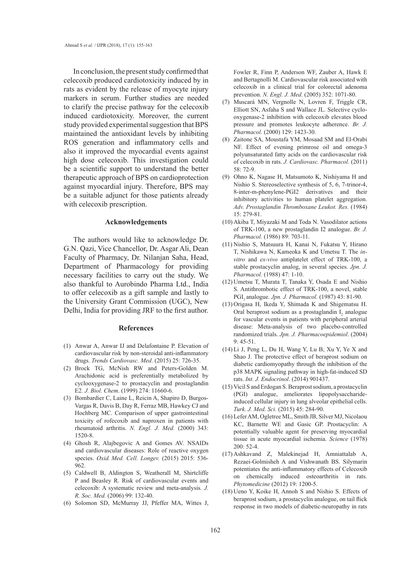In conclusion, the present study confirmed that celecoxib produced cardiotoxicity induced by in rats as evident by the release of myocyte injury markers in serum. Further studies are needed to clarify the precise pathway for the celecoxib induced cardiotoxicity. Moreover, the current study provided experimental suggestion that BPS maintained the antioxidant levels by inhibiting ROS generation and inflammatory cells and also it improved the myocardial events against high dose celecoxib. This investigation could be a scientific support to understand the better therapeutic approach of BPS on cardioprotection against myocardial injury. Therefore, BPS may be a suitable adjunct for those patients already with celecoxib prescription.

## **Acknowledgements**

The authors would like to acknowledge Dr. G.N. Qazi, Vice Chancellor, Dr. Asgar Ali, Dean Faculty of Pharmacy, Dr. Nilanjan Saha, Head, Department of Pharmacology for providing necessary facilities to carry out the study. We also thankful to Aurobindo Pharma Ltd., India to offer celecoxib as a gift sample and lastly to the University Grant Commission (UGC), New Delhi, India for providing JRF to the first author.

## **References**

- (1) Anwar A, Anwar IJ and Delafontaine P. Elevation of cardiovascular risk by non-steroidal anti-inflammatory drugs. *Trends Cardiovasc. Med*. (2015) 25: 726-35.
- (2) Brock TG, McNish RW and Peters-Golden M. Arachidonic acid is preferentially metabolized by cyclooxygenase-2 to prostacyclin and prostaglandin E2*. J. Biol. Chem*. (1999) 274: 11660-6.
- (3) Bombardier C, Laine L, Reicin A, Shapiro D, Burgos-Vargas R, Davis B, Day R, Ferraz MB, Hawkey CJ and Hochberg MC. Comparison of upper gastrointestinal toxicity of rofecoxib and naproxen in patients with rheumatoid arthritis. *N. Engl. J. Med.* (2000) 343: 1520-8.
- (4) Ghosh R, Alajbegovic A and Gomes AV. NSAIDs and cardiovascular diseases: Role of reactive oxygen species. *Oxid. Med. Cell. Longev.* (2015) 2015: 536- 962.
- (5) Caldwell B, Aldington S, Weatherall M, Shirtcliffe P and Beasley R. Risk of cardiovascular events and celecoxib: A systematic review and meta-analysis*. J. R. Soc. Med.* (2006) 99: 132-40.
- (6) Solomon SD, McMurray JJ, Pfeffer MA, Wittes J,

Fowler R, Finn P, Anderson WF, Zauber A, Hawk E and Bertagnolli M. Cardiovascular risk associated with celecoxib in a clinical trial for colorectal adenoma prevention. *N. Engl. J. Med.* (2005) 352: 1071-80.

- Muscará MN, Vergnolle N, Lovren F, Triggle CR, (7) Elliott SN, Asfaha S and Wallace JL. Selective cyclooxygenase-2 inhibition with celecoxib elevates blood pressure and promotes leukocyte adherence. *Br. J. Pharmacol.* (2000) 129: 1423-30.
- Zaitone SA, Moustafa YM, Mosaad SM and El-Orabi (8) NF. Effect of evening primrose oil and omega-3 polyunsaturated fatty acids on the cardiovascular risk of celecoxib in rats. *J. Cardiovasc. Pharmacol*. (2011) 58: 72-9.
- (9) Ohno K, Nagase H, Matsumoto K, Nishiyama H and Nishio S. Stereoselective synthesis of 5, 6, 7-trinor-4, 8-inter-m-phenylene-PGI2 derivatives and their inhibitory activities to human platelet aggregation. *Adv. Prostaglandin Thromboxane Leukot. Res.* (1984) 15: 279-81.
- (10) Akiba T, Miyazaki M and Toda N. Vasodilator actions of TRK-100, a new prostaglandin I2 analogue. *Br. J. Pharmacol.* (1986) 89: 703-11.
- (11) Nishio S, Matsuura H, Kanai N, Fukatsu Y, Hirano T, Nishikawa N, Kameoka K and Umetsu T. The *invitro* and *ex-vivo* antiplatelet effect of TRK-100, a stable prostacyclin analog, in several species. *Jpn. J. Pharmacol.* (1988) 47: 1-10.
- $(12)$  Umetsu T, Murata T, Tanaka Y, Osada E and Nishio S. Antithrombotic effect of TRK-100, a novel, stable PGI<sub>2</sub> analogue. *Jpn. J. Pharmacol.* (1987) 43: 81-90.
- $(13)$  Origasa H, Ikeda Y, Shimada K and Shigematsu H. Oral beraprost sodium as a prostaglandin  $I_2$  analogue for vascular events in patients with peripheral arterial disease: Meta-analysis of two placebo-controlled randomized trials. *Jpn. J. Pharmacoepidemiol*. (2004)  $9.45 - 51$
- $(14)$  Li J, Peng L, Du H, Wang Y, Lu B, Xu Y, Ye X and Shao J. The protective effect of beraprost sodium on diabetic cardiomyopathy through the inhibition of the p38 MAPK signaling pathway in high-fat-induced SD rats. *Int. J. Endocrinol*. (2014) 901437.
- (15) Vicil S and Erdogan S. Beraprost sodium, a prostacyclin (PGI) analogue, ameliorates lipopolysaccharideinduced cellular injury in lung alveolar epithelial cells. *Turk. J. Med. Sci.* (2015) 45: 284-90.
- Lefer AM, Ogletree ML, Smith JB, Silver MJ, Nicolaou (16) KC, Barnette WE and Gasic GP. Prostacyclin: A potentially valuable agent for preserving myocardial tissue in acute myocardial ischemia. *Science* (1978) 200: 52-4.
- Ashkavand Z, Malekinejad H, Amniattalab A, (17) Rezaei-Golmisheh A and Vishwanath BS. Silymarin potentiates the anti-inflammatory effects of Celecoxib on chemically induced osteoarthritis in rats. *Phytomedicine* (2012) 19: 1200-5.
- $(18)$  Ueno Y, Koike H, Annoh S and Nishio S. Effects of beraprost sodium, a prostacyclin analogue, on tail flick response in two models of diabetic-neuropathy in rats